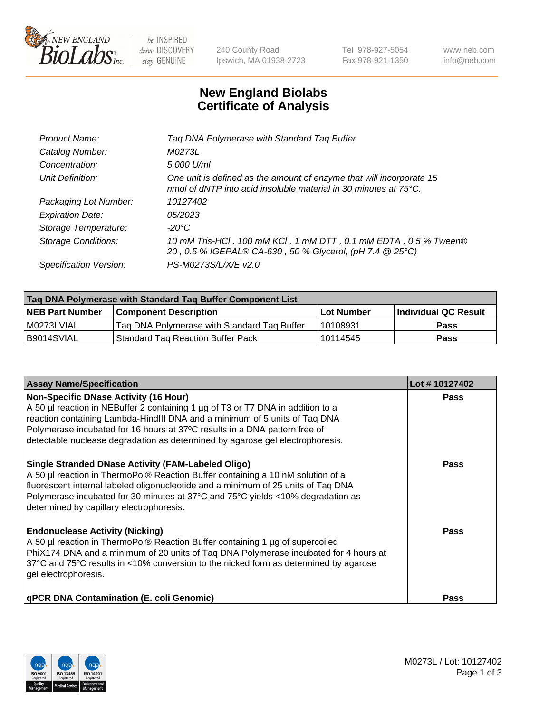

 $be$  INSPIRED drive DISCOVERY stay GENUINE

240 County Road Ipswich, MA 01938-2723 Tel 978-927-5054 Fax 978-921-1350 www.neb.com info@neb.com

## **New England Biolabs Certificate of Analysis**

| Product Name:              | Tag DNA Polymerase with Standard Tag Buffer                                                                                                        |
|----------------------------|----------------------------------------------------------------------------------------------------------------------------------------------------|
| Catalog Number:            | M0273L                                                                                                                                             |
| Concentration:             | 5,000 U/ml                                                                                                                                         |
| Unit Definition:           | One unit is defined as the amount of enzyme that will incorporate 15<br>nmol of dNTP into acid insoluble material in 30 minutes at $75^{\circ}$ C. |
| Packaging Lot Number:      | 10127402                                                                                                                                           |
| <b>Expiration Date:</b>    | 05/2023                                                                                                                                            |
| Storage Temperature:       | $-20^{\circ}$ C                                                                                                                                    |
| <b>Storage Conditions:</b> | 10 mM Tris-HCl, 100 mM KCl, 1 mM DTT, 0.1 mM EDTA, 0.5 % Tween®<br>20, 0.5 % IGEPAL® CA-630, 50 % Glycerol, (pH 7.4 @ 25°C)                        |
| Specification Version:     | PS-M0273S/L/X/E v2.0                                                                                                                               |

| Tag DNA Polymerase with Standard Tag Buffer Component List |                                             |                   |                      |  |
|------------------------------------------------------------|---------------------------------------------|-------------------|----------------------|--|
| <b>NEB Part Number</b>                                     | <b>Component Description</b>                | <b>Lot Number</b> | Individual QC Result |  |
| M0273LVIAL                                                 | Tag DNA Polymerase with Standard Tag Buffer | 10108931          | <b>Pass</b>          |  |
| B9014SVIAL                                                 | l Standard Tag Reaction Buffer Pack         | 10114545          | <b>Pass</b>          |  |

| <b>Assay Name/Specification</b>                                                                                                                                                                                                                                                                                                                                              | Lot #10127402 |
|------------------------------------------------------------------------------------------------------------------------------------------------------------------------------------------------------------------------------------------------------------------------------------------------------------------------------------------------------------------------------|---------------|
| <b>Non-Specific DNase Activity (16 Hour)</b><br>A 50 µl reaction in NEBuffer 2 containing 1 µg of T3 or T7 DNA in addition to a<br>reaction containing Lambda-HindIII DNA and a minimum of 5 units of Taq DNA<br>Polymerase incubated for 16 hours at 37°C results in a DNA pattern free of<br>detectable nuclease degradation as determined by agarose gel electrophoresis. | Pass          |
| <b>Single Stranded DNase Activity (FAM-Labeled Oligo)</b><br>A 50 µl reaction in ThermoPol® Reaction Buffer containing a 10 nM solution of a<br>fluorescent internal labeled oligonucleotide and a minimum of 25 units of Taq DNA<br>Polymerase incubated for 30 minutes at 37°C and 75°C yields <10% degradation as<br>determined by capillary electrophoresis.             | Pass          |
| <b>Endonuclease Activity (Nicking)</b><br>A 50 µl reaction in ThermoPol® Reaction Buffer containing 1 µg of supercoiled<br>PhiX174 DNA and a minimum of 20 units of Taq DNA Polymerase incubated for 4 hours at<br>37°C and 75°C results in <10% conversion to the nicked form as determined by agarose<br>gel electrophoresis.                                              | Pass          |
| <b>qPCR DNA Contamination (E. coli Genomic)</b>                                                                                                                                                                                                                                                                                                                              | <b>Pass</b>   |

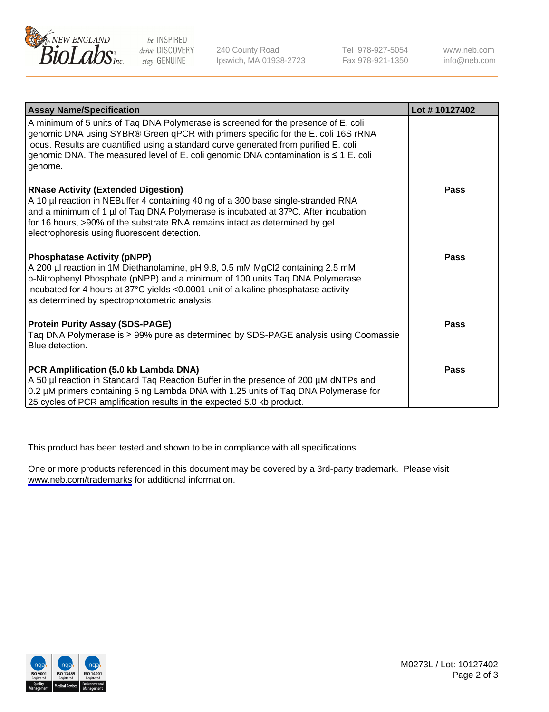

be INSPIRED drive DISCOVERY stay GENUINE

240 County Road Ipswich, MA 01938-2723 Tel 978-927-5054 Fax 978-921-1350

www.neb.com info@neb.com

| <b>Assay Name/Specification</b>                                                                                                                                                                                                                                                                                                                                   | Lot #10127402 |
|-------------------------------------------------------------------------------------------------------------------------------------------------------------------------------------------------------------------------------------------------------------------------------------------------------------------------------------------------------------------|---------------|
| A minimum of 5 units of Taq DNA Polymerase is screened for the presence of E. coli<br>genomic DNA using SYBR® Green qPCR with primers specific for the E. coli 16S rRNA<br>locus. Results are quantified using a standard curve generated from purified E. coli<br>genomic DNA. The measured level of E. coli genomic DNA contamination is ≤ 1 E. coli<br>genome. |               |
| <b>RNase Activity (Extended Digestion)</b><br>A 10 µl reaction in NEBuffer 4 containing 40 ng of a 300 base single-stranded RNA<br>and a minimum of 1 µl of Taq DNA Polymerase is incubated at 37°C. After incubation<br>for 16 hours, >90% of the substrate RNA remains intact as determined by gel<br>electrophoresis using fluorescent detection.              | Pass          |
| <b>Phosphatase Activity (pNPP)</b><br>A 200 µl reaction in 1M Diethanolamine, pH 9.8, 0.5 mM MgCl2 containing 2.5 mM<br>p-Nitrophenyl Phosphate (pNPP) and a minimum of 100 units Taq DNA Polymerase<br>incubated for 4 hours at 37°C yields <0.0001 unit of alkaline phosphatase activity<br>as determined by spectrophotometric analysis.                       | Pass          |
| <b>Protein Purity Assay (SDS-PAGE)</b><br>Taq DNA Polymerase is ≥ 99% pure as determined by SDS-PAGE analysis using Coomassie<br>Blue detection.                                                                                                                                                                                                                  | Pass          |
| PCR Amplification (5.0 kb Lambda DNA)<br>A 50 µl reaction in Standard Taq Reaction Buffer in the presence of 200 µM dNTPs and<br>0.2 µM primers containing 5 ng Lambda DNA with 1.25 units of Taq DNA Polymerase for<br>25 cycles of PCR amplification results in the expected 5.0 kb product.                                                                    | <b>Pass</b>   |

This product has been tested and shown to be in compliance with all specifications.

One or more products referenced in this document may be covered by a 3rd-party trademark. Please visit <www.neb.com/trademarks>for additional information.